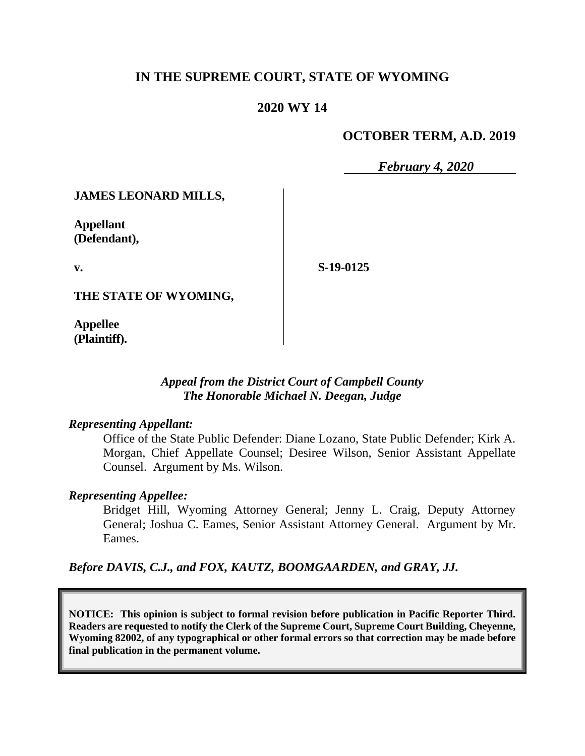## **IN THE SUPREME COURT, STATE OF WYOMING**

## **2020 WY 14**

## **OCTOBER TERM, A.D. 2019**

*February 4, 2020*

### **JAMES LEONARD MILLS,**

**Appellant (Defendant),**

**v.**

**S-19-0125**

**THE STATE OF WYOMING,**

**Appellee (Plaintiff).**

#### *Appeal from the District Court of Campbell County The Honorable Michael N. Deegan, Judge*

#### *Representing Appellant:*

Office of the State Public Defender: Diane Lozano, State Public Defender; Kirk A. Morgan, Chief Appellate Counsel; Desiree Wilson, Senior Assistant Appellate Counsel. Argument by Ms. Wilson.

#### *Representing Appellee:*

Bridget Hill, Wyoming Attorney General; Jenny L. Craig, Deputy Attorney General; Joshua C. Eames, Senior Assistant Attorney General. Argument by Mr. Eames.

*Before DAVIS, C.J., and FOX, KAUTZ, BOOMGAARDEN, and GRAY, JJ.*

**NOTICE: This opinion is subject to formal revision before publication in Pacific Reporter Third. Readers are requested to notify the Clerk of the Supreme Court, Supreme Court Building, Cheyenne, Wyoming 82002, of any typographical or other formal errors so that correction may be made before final publication in the permanent volume.**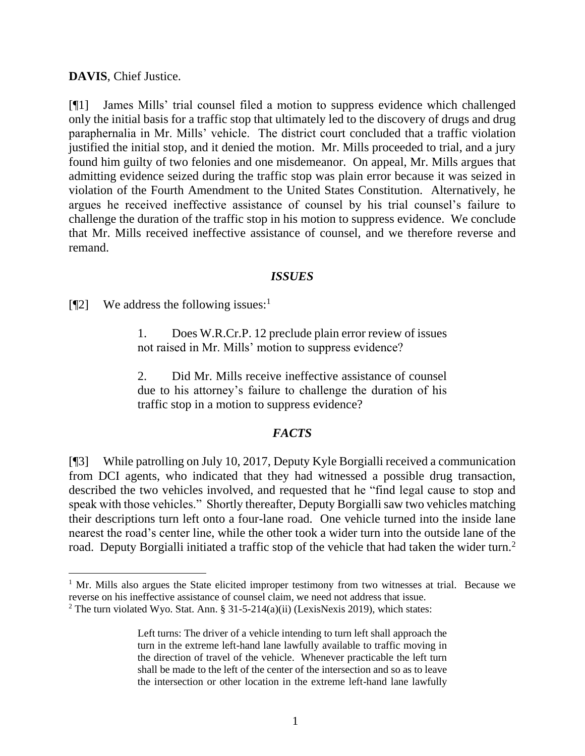**DAVIS**, Chief Justice.

[¶1] James Mills' trial counsel filed a motion to suppress evidence which challenged only the initial basis for a traffic stop that ultimately led to the discovery of drugs and drug paraphernalia in Mr. Mills' vehicle. The district court concluded that a traffic violation justified the initial stop, and it denied the motion. Mr. Mills proceeded to trial, and a jury found him guilty of two felonies and one misdemeanor. On appeal, Mr. Mills argues that admitting evidence seized during the traffic stop was plain error because it was seized in violation of the Fourth Amendment to the United States Constitution. Alternatively, he argues he received ineffective assistance of counsel by his trial counsel's failure to challenge the duration of the traffic stop in his motion to suppress evidence. We conclude that Mr. Mills received ineffective assistance of counsel, and we therefore reverse and remand.

### *ISSUES*

[¶2] We address the following issues: 1

1. Does W.R.Cr.P. 12 preclude plain error review of issues not raised in Mr. Mills' motion to suppress evidence?

2. Did Mr. Mills receive ineffective assistance of counsel due to his attorney's failure to challenge the duration of his traffic stop in a motion to suppress evidence?

## *FACTS*

[¶3] While patrolling on July 10, 2017, Deputy Kyle Borgialli received a communication from DCI agents, who indicated that they had witnessed a possible drug transaction, described the two vehicles involved, and requested that he "find legal cause to stop and speak with those vehicles." Shortly thereafter, Deputy Borgialli saw two vehicles matching their descriptions turn left onto a four-lane road. One vehicle turned into the inside lane nearest the road's center line, while the other took a wider turn into the outside lane of the road. Deputy Borgialli initiated a traffic stop of the vehicle that had taken the wider turn.<sup>2</sup>

 $1$  Mr. Mills also argues the State elicited improper testimony from two witnesses at trial. Because we reverse on his ineffective assistance of counsel claim, we need not address that issue.

<sup>&</sup>lt;sup>2</sup> The turn violated Wyo. Stat. Ann. § 31-5-214(a)(ii) (LexisNexis 2019), which states:

Left turns: The driver of a vehicle intending to turn left shall approach the turn in the extreme left-hand lane lawfully available to traffic moving in the direction of travel of the vehicle. Whenever practicable the left turn shall be made to the left of the center of the intersection and so as to leave the intersection or other location in the extreme left-hand lane lawfully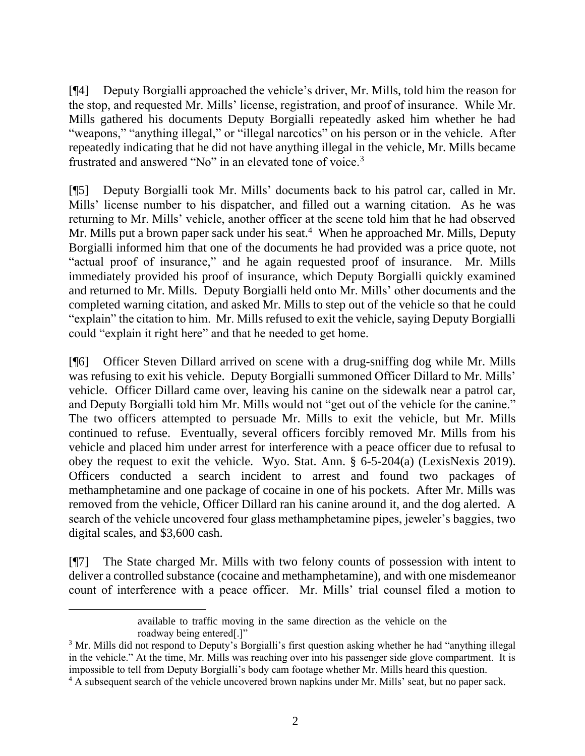[¶4] Deputy Borgialli approached the vehicle's driver, Mr. Mills, told him the reason for the stop, and requested Mr. Mills' license, registration, and proof of insurance. While Mr. Mills gathered his documents Deputy Borgialli repeatedly asked him whether he had "weapons," "anything illegal," or "illegal narcotics" on his person or in the vehicle. After repeatedly indicating that he did not have anything illegal in the vehicle, Mr. Mills became frustrated and answered "No" in an elevated tone of voice.<sup>3</sup>

[¶5] Deputy Borgialli took Mr. Mills' documents back to his patrol car, called in Mr. Mills' license number to his dispatcher, and filled out a warning citation. As he was returning to Mr. Mills' vehicle, another officer at the scene told him that he had observed Mr. Mills put a brown paper sack under his seat.<sup>4</sup> When he approached Mr. Mills, Deputy Borgialli informed him that one of the documents he had provided was a price quote, not "actual proof of insurance," and he again requested proof of insurance. Mr. Mills immediately provided his proof of insurance, which Deputy Borgialli quickly examined and returned to Mr. Mills. Deputy Borgialli held onto Mr. Mills' other documents and the completed warning citation, and asked Mr. Mills to step out of the vehicle so that he could "explain" the citation to him. Mr. Mills refused to exit the vehicle, saying Deputy Borgialli could "explain it right here" and that he needed to get home.

[¶6] Officer Steven Dillard arrived on scene with a drug-sniffing dog while Mr. Mills was refusing to exit his vehicle. Deputy Borgialli summoned Officer Dillard to Mr. Mills' vehicle. Officer Dillard came over, leaving his canine on the sidewalk near a patrol car, and Deputy Borgialli told him Mr. Mills would not "get out of the vehicle for the canine." The two officers attempted to persuade Mr. Mills to exit the vehicle, but Mr. Mills continued to refuse. Eventually, several officers forcibly removed Mr. Mills from his vehicle and placed him under arrest for interference with a peace officer due to refusal to obey the request to exit the vehicle. Wyo. Stat. Ann. § 6-5-204(a) (LexisNexis 2019). Officers conducted a search incident to arrest and found two packages of methamphetamine and one package of cocaine in one of his pockets. After Mr. Mills was removed from the vehicle, Officer Dillard ran his canine around it, and the dog alerted. A search of the vehicle uncovered four glass methamphetamine pipes, jeweler's baggies, two digital scales, and \$3,600 cash.

[¶7] The State charged Mr. Mills with two felony counts of possession with intent to deliver a controlled substance (cocaine and methamphetamine), and with one misdemeanor count of interference with a peace officer. Mr. Mills' trial counsel filed a motion to

available to traffic moving in the same direction as the vehicle on the roadway being entered[.]"

<sup>&</sup>lt;sup>3</sup> Mr. Mills did not respond to Deputy's Borgialli's first question asking whether he had "anything illegal in the vehicle." At the time, Mr. Mills was reaching over into his passenger side glove compartment. It is impossible to tell from Deputy Borgialli's body cam footage whether Mr. Mills heard this question.

<sup>4</sup> A subsequent search of the vehicle uncovered brown napkins under Mr. Mills' seat, but no paper sack.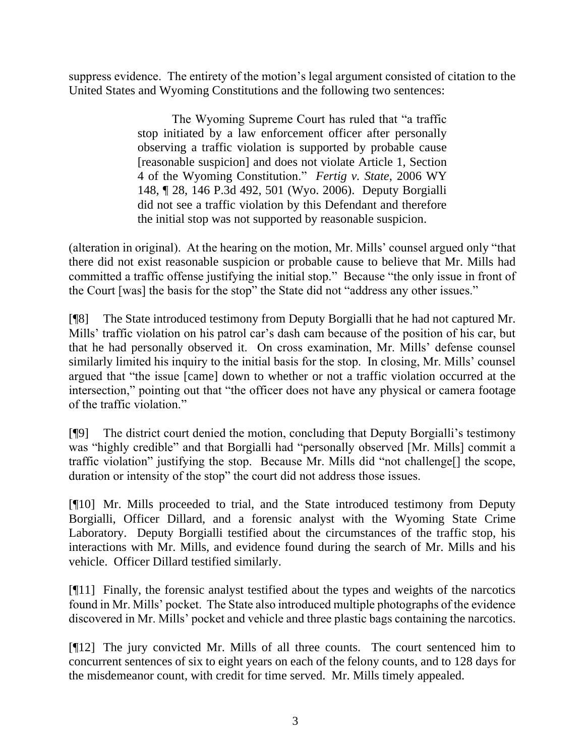suppress evidence. The entirety of the motion's legal argument consisted of citation to the United States and Wyoming Constitutions and the following two sentences:

> The Wyoming Supreme Court has ruled that "a traffic stop initiated by a law enforcement officer after personally observing a traffic violation is supported by probable cause [reasonable suspicion] and does not violate Article 1, Section 4 of the Wyoming Constitution." *Fertig v. State*, 2006 WY 148, ¶ 28, 146 P.3d 492, 501 (Wyo. 2006). Deputy Borgialli did not see a traffic violation by this Defendant and therefore the initial stop was not supported by reasonable suspicion.

(alteration in original). At the hearing on the motion, Mr. Mills' counsel argued only "that there did not exist reasonable suspicion or probable cause to believe that Mr. Mills had committed a traffic offense justifying the initial stop." Because "the only issue in front of the Court [was] the basis for the stop" the State did not "address any other issues."

[¶8] The State introduced testimony from Deputy Borgialli that he had not captured Mr. Mills' traffic violation on his patrol car's dash cam because of the position of his car, but that he had personally observed it. On cross examination, Mr. Mills' defense counsel similarly limited his inquiry to the initial basis for the stop. In closing, Mr. Mills' counsel argued that "the issue [came] down to whether or not a traffic violation occurred at the intersection," pointing out that "the officer does not have any physical or camera footage of the traffic violation."

[¶9] The district court denied the motion, concluding that Deputy Borgialli's testimony was "highly credible" and that Borgialli had "personally observed [Mr. Mills] commit a traffic violation" justifying the stop. Because Mr. Mills did "not challenge[] the scope, duration or intensity of the stop" the court did not address those issues.

[¶10] Mr. Mills proceeded to trial, and the State introduced testimony from Deputy Borgialli, Officer Dillard, and a forensic analyst with the Wyoming State Crime Laboratory. Deputy Borgialli testified about the circumstances of the traffic stop, his interactions with Mr. Mills, and evidence found during the search of Mr. Mills and his vehicle. Officer Dillard testified similarly.

[¶11] Finally, the forensic analyst testified about the types and weights of the narcotics found in Mr. Mills' pocket. The State also introduced multiple photographs of the evidence discovered in Mr. Mills' pocket and vehicle and three plastic bags containing the narcotics.

[¶12] The jury convicted Mr. Mills of all three counts. The court sentenced him to concurrent sentences of six to eight years on each of the felony counts, and to 128 days for the misdemeanor count, with credit for time served. Mr. Mills timely appealed.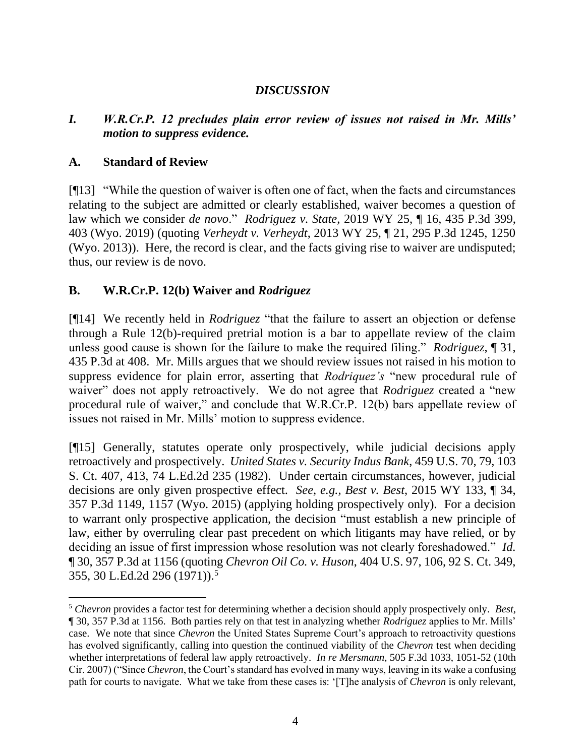# *DISCUSSION*

## *I. W.R.Cr.P. 12 precludes plain error review of issues not raised in Mr. Mills' motion to suppress evidence.*

## **A. Standard of Review**

[¶13] "While the question of waiver is often one of fact, when the facts and circumstances relating to the subject are admitted or clearly established, waiver becomes a question of law which we consider *de novo*." *Rodriguez v. State*, 2019 WY 25, ¶ 16, 435 P.3d 399, 403 (Wyo. 2019) (quoting *Verheydt v. Verheydt*, 2013 WY 25, ¶ 21, 295 P.3d 1245, 1250 (Wyo. 2013)). Here, the record is clear, and the facts giving rise to waiver are undisputed; thus, our review is de novo.

# **B. W.R.Cr.P. 12(b) Waiver and** *Rodriguez*

[¶14] We recently held in *Rodriguez* "that the failure to assert an objection or defense through a Rule 12(b)-required pretrial motion is a bar to appellate review of the claim unless good cause is shown for the failure to make the required filing." *Rodriguez*, ¶ 31, 435 P.3d at 408. Mr. Mills argues that we should review issues not raised in his motion to suppress evidence for plain error, asserting that *Rodriquez's* "new procedural rule of waiver" does not apply retroactively. We do not agree that *Rodriguez* created a "new procedural rule of waiver," and conclude that W.R.Cr.P. 12(b) bars appellate review of issues not raised in Mr. Mills' motion to suppress evidence.

[¶15] Generally, statutes operate only prospectively, while judicial decisions apply retroactively and prospectively. *United States v. Security Indus Bank*, 459 U.S. 70, 79, 103 S. Ct. 407, 413, 74 L.Ed.2d 235 (1982). Under certain circumstances, however, judicial decisions are only given prospective effect. *See, e.g., Best v. Best*, 2015 WY 133, ¶ 34, 357 P.3d 1149, 1157 (Wyo. 2015) (applying holding prospectively only). For a decision to warrant only prospective application, the decision "must establish a new principle of law, either by overruling clear past precedent on which litigants may have relied, or by deciding an issue of first impression whose resolution was not clearly foreshadowed." *Id.* ¶ 30, 357 P.3d at 1156 (quoting *Chevron Oil Co. v. Huson*, 404 U.S. 97, 106, 92 S. Ct. 349, 355, 30 L.Ed.2d 296 (1971)).<sup>5</sup>

<sup>5</sup> *Chevron* provides a factor test for determining whether a decision should apply prospectively only. *Best*, ¶ 30, 357 P.3d at 1156. Both parties rely on that test in analyzing whether *Rodriguez* applies to Mr. Mills' case. We note that since *Chevron* the United States Supreme Court's approach to retroactivity questions has evolved significantly, calling into question the continued viability of the *Chevron* test when deciding whether interpretations of federal law apply retroactively. *In re Mersmann*, 505 F.3d 1033, 1051-52 (10th Cir. 2007) ("Since *Chevron*, the Court's standard has evolved in many ways, leaving in its wake a confusing path for courts to navigate. What we take from these cases is: '[T]he analysis of *Chevron* is only relevant,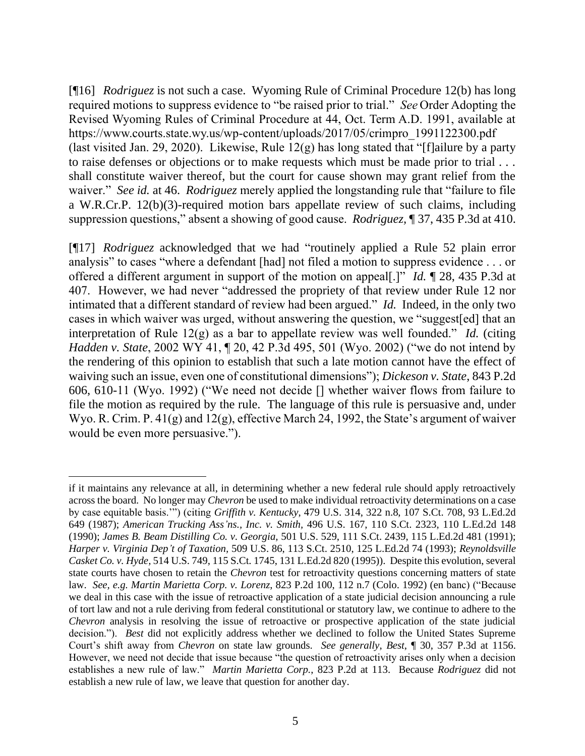[¶16] *Rodriguez* is not such a case. Wyoming Rule of Criminal Procedure 12(b) has long required motions to suppress evidence to "be raised prior to trial." *See* Order Adopting the Revised Wyoming Rules of Criminal Procedure at 44, Oct. Term A.D. 1991, available at https://www.courts.state.wy.us/wp-content/uploads/2017/05/crimpro\_1991122300.pdf (last visited Jan. 29, 2020). Likewise, Rule  $12(g)$  has long stated that "[f]ailure by a party to raise defenses or objections or to make requests which must be made prior to trial . . . shall constitute waiver thereof, but the court for cause shown may grant relief from the waiver." *See id.* at 46. *Rodriguez* merely applied the longstanding rule that "failure to file a W.R.Cr.P. 12(b)(3)-required motion bars appellate review of such claims, including suppression questions," absent a showing of good cause. *Rodriguez,* ¶ 37, 435 P.3d at 410.

[¶17] *Rodriguez* acknowledged that we had "routinely applied a Rule 52 plain error analysis" to cases "where a defendant [had] not filed a motion to suppress evidence . . . or offered a different argument in support of the motion on appeal[.]" *Id.* ¶ 28, 435 P.3d at 407. However, we had never "addressed the propriety of that review under Rule 12 nor intimated that a different standard of review had been argued." *Id.* Indeed, in the only two cases in which waiver was urged, without answering the question, we "suggest[ed] that an interpretation of Rule 12(g) as a bar to appellate review was well founded." *Id.* (citing *Hadden v. State*, 2002 WY 41, ¶ 20, 42 P.3d 495, 501 (Wyo. 2002) ("we do not intend by the rendering of this opinion to establish that such a late motion cannot have the effect of waiving such an issue, even one of constitutional dimensions"); *Dickeson v. State*, 843 P.2d 606, 610-11 (Wyo. 1992) ("We need not decide [] whether waiver flows from failure to file the motion as required by the rule. The language of this rule is persuasive and, under Wyo. R. Crim. P. 41(g) and 12(g), effective March 24, 1992, the State's argument of waiver would be even more persuasive.").

if it maintains any relevance at all, in determining whether a new federal rule should apply retroactively across the board. No longer may *Chevron* be used to make individual retroactivity determinations on a case by case equitable basis.'") (citing *Griffith v. Kentucky*, 479 U.S. 314, 322 n.8, 107 S.Ct. 708, 93 L.Ed.2d 649 (1987); *American Trucking Ass'ns., Inc. v. Smith,* 496 U.S. 167, 110 S.Ct. 2323, 110 L.Ed.2d 148 (1990); *James B. Beam Distilling Co. v. Georgia,* 501 U.S. 529, 111 S.Ct. 2439, 115 L.Ed.2d 481 (1991); *Harper v. Virginia Dep't of Taxation,* 509 U.S. 86, 113 S.Ct. 2510, 125 L.Ed.2d 74 (1993); *Reynoldsville Casket Co. v. Hyde,* 514 U.S. 749, 115 S.Ct. 1745, 131 L.Ed.2d 820 (1995)). Despite this evolution, several state courts have chosen to retain the *Chevron* test for retroactivity questions concerning matters of state law. *See, e.g. Martin Marietta Corp. v. Lorenz*, 823 P.2d 100, 112 n.7 (Colo. 1992) (en banc) ("Because we deal in this case with the issue of retroactive application of a state judicial decision announcing a rule of tort law and not a rule deriving from federal constitutional or statutory law, we continue to adhere to the *Chevron* analysis in resolving the issue of retroactive or prospective application of the state judicial decision."). *Best* did not explicitly address whether we declined to follow the United States Supreme Court's shift away from *Chevron* on state law grounds. *See generally*, *Best*, ¶ 30, 357 P.3d at 1156. However, we need not decide that issue because "the question of retroactivity arises only when a decision establishes a new rule of law." *Martin Marietta Corp.*, 823 P.2d at 113. Because *Rodriguez* did not establish a new rule of law, we leave that question for another day.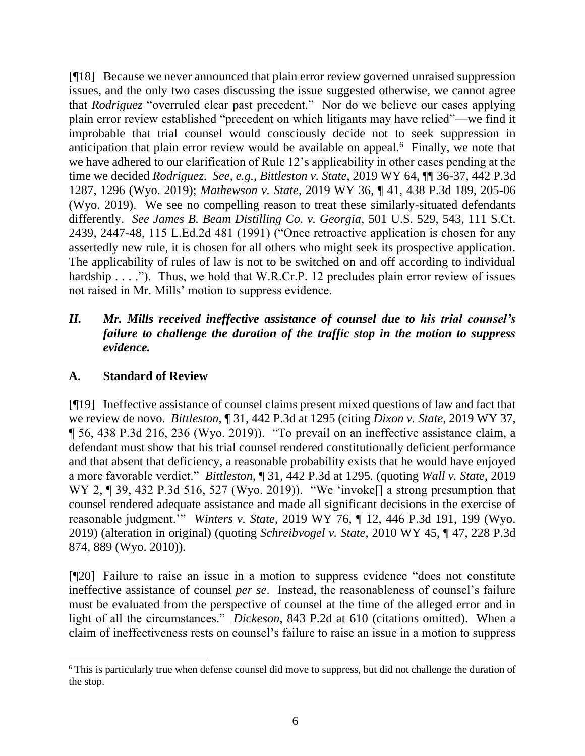[¶18] Because we never announced that plain error review governed unraised suppression issues, and the only two cases discussing the issue suggested otherwise, we cannot agree that *Rodriguez* "overruled clear past precedent." Nor do we believe our cases applying plain error review established "precedent on which litigants may have relied"—we find it improbable that trial counsel would consciously decide not to seek suppression in anticipation that plain error review would be available on appeal. $6$  Finally, we note that we have adhered to our clarification of Rule 12's applicability in other cases pending at the time we decided *Rodriguez*. *See, e.g., Bittleston v. State*, 2019 WY 64, ¶¶ 36-37, 442 P.3d 1287, 1296 (Wyo. 2019); *Mathewson v. State*, 2019 WY 36, ¶ 41, 438 P.3d 189, 205-06 (Wyo. 2019). We see no compelling reason to treat these similarly-situated defendants differently. *See James B. Beam Distilling Co. v. Georgia*, 501 U.S. 529, 543, 111 S.Ct. 2439, 2447-48, 115 L.Ed.2d 481 (1991) ("Once retroactive application is chosen for any assertedly new rule, it is chosen for all others who might seek its prospective application. The applicability of rules of law is not to be switched on and off according to individual hardship . . . ."). Thus, we hold that W.R.Cr.P. 12 precludes plain error review of issues not raised in Mr. Mills' motion to suppress evidence.

## *II. Mr. Mills received ineffective assistance of counsel due to his trial counsel's failure to challenge the duration of the traffic stop in the motion to suppress evidence.*

## **A. Standard of Review**

[¶19] Ineffective assistance of counsel claims present mixed questions of law and fact that we review de novo. *Bittleston*, ¶ 31, 442 P.3d at 1295 (citing *Dixon v. State*, 2019 WY 37, ¶ 56, 438 P.3d 216, 236 (Wyo. 2019)). "To prevail on an ineffective assistance claim, a defendant must show that his trial counsel rendered constitutionally deficient performance and that absent that deficiency, a reasonable probability exists that he would have enjoyed a more favorable verdict." *Bittleston*, ¶ 31, 442 P.3d at 1295*.* (quoting *Wall v. State*, 2019 WY 2, ¶ 39, 432 P.3d 516, 527 (Wyo. 2019)). "We 'invoke<sup>[]</sup> a strong presumption that counsel rendered adequate assistance and made all significant decisions in the exercise of reasonable judgment.'" *Winters v. State*, 2019 WY 76, ¶ 12, 446 P.3d 191, 199 (Wyo. 2019) (alteration in original) (quoting *Schreibvogel v. State*, 2010 WY 45, ¶ 47, 228 P.3d 874, 889 (Wyo. 2010))*.* 

[¶20] Failure to raise an issue in a motion to suppress evidence "does not constitute ineffective assistance of counsel *per se*. Instead, the reasonableness of counsel's failure must be evaluated from the perspective of counsel at the time of the alleged error and in light of all the circumstances." *Dickeson*, 843 P.2d at 610 (citations omitted). When a claim of ineffectiveness rests on counsel's failure to raise an issue in a motion to suppress

<sup>6</sup> This is particularly true when defense counsel did move to suppress, but did not challenge the duration of the stop.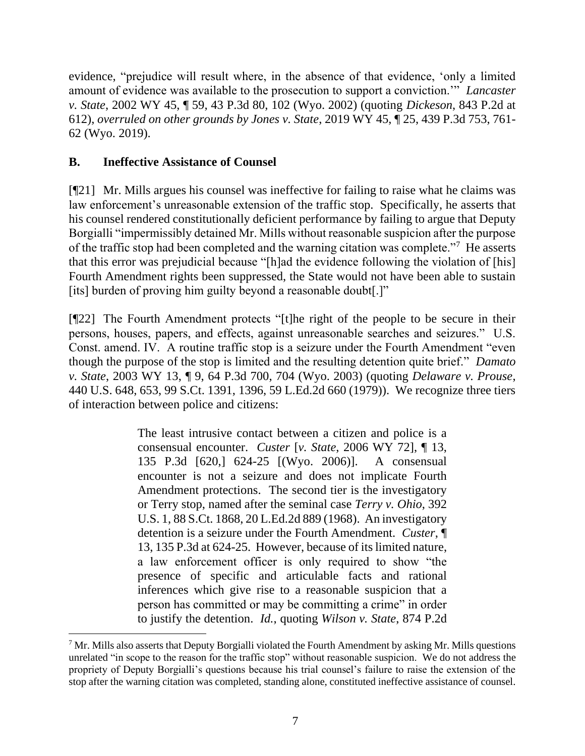evidence, "prejudice will result where, in the absence of that evidence, 'only a limited amount of evidence was available to the prosecution to support a conviction.'" *Lancaster v. State*, 2002 WY 45, ¶ 59, 43 P.3d 80, 102 (Wyo. 2002) (quoting *Dickeson*, 843 P.2d at 612), *overruled on other grounds by Jones v. State*, 2019 WY 45, ¶ 25, 439 P.3d 753, 761- 62 (Wyo. 2019).

# **B. Ineffective Assistance of Counsel**

[¶21] Mr. Mills argues his counsel was ineffective for failing to raise what he claims was law enforcement's unreasonable extension of the traffic stop. Specifically, he asserts that his counsel rendered constitutionally deficient performance by failing to argue that Deputy Borgialli "impermissibly detained Mr. Mills without reasonable suspicion after the purpose of the traffic stop had been completed and the warning citation was complete."<sup>7</sup> He asserts that this error was prejudicial because "[h]ad the evidence following the violation of [his] Fourth Amendment rights been suppressed, the State would not have been able to sustain [its] burden of proving him guilty beyond a reasonable doubt[.]"

[¶22] The Fourth Amendment protects "[t]he right of the people to be secure in their persons, houses, papers, and effects, against unreasonable searches and seizures." U.S. Const. amend. IV. A routine traffic stop is a seizure under the Fourth Amendment "even though the purpose of the stop is limited and the resulting detention quite brief." *Damato v. State*, 2003 WY 13, ¶ 9, 64 P.3d 700, 704 (Wyo. 2003) (quoting *Delaware v. Prouse*, 440 U.S. 648, 653, 99 S.Ct. 1391, 1396, 59 L.Ed.2d 660 (1979)). We recognize three tiers of interaction between police and citizens:

> The least intrusive contact between a citizen and police is a consensual encounter. *Custer* [*v. State*, 2006 WY 72], ¶ 13, 135 P.3d [620,] 624-25 [(Wyo. 2006)]. A consensual encounter is not a seizure and does not implicate Fourth Amendment protections. The second tier is the investigatory or Terry stop, named after the seminal case *Terry v. Ohio*, 392 U.S. 1, 88 S.Ct. 1868, 20 L.Ed.2d 889 (1968). An investigatory detention is a seizure under the Fourth Amendment. *Custer*, ¶ 13, 135 P.3d at 624-25. However, because of its limited nature, a law enforcement officer is only required to show "the presence of specific and articulable facts and rational inferences which give rise to a reasonable suspicion that a person has committed or may be committing a crime" in order to justify the detention. *Id.*, quoting *Wilson v. State*, 874 P.2d

 $<sup>7</sup>$  Mr. Mills also asserts that Deputy Borgialli violated the Fourth Amendment by asking Mr. Mills questions</sup> unrelated "in scope to the reason for the traffic stop" without reasonable suspicion. We do not address the propriety of Deputy Borgialli's questions because his trial counsel's failure to raise the extension of the stop after the warning citation was completed, standing alone, constituted ineffective assistance of counsel.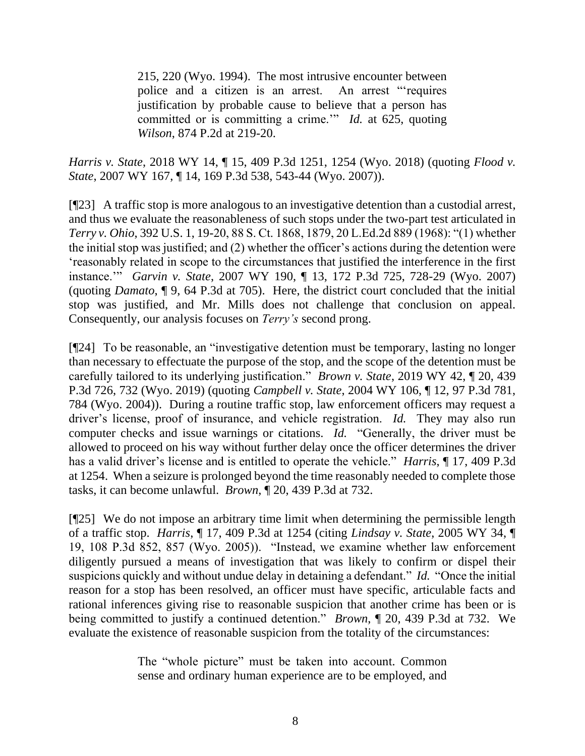215, 220 (Wyo. 1994). The most intrusive encounter between police and a citizen is an arrest. An arrest "'requires justification by probable cause to believe that a person has committed or is committing a crime.'" *Id.* at 625, quoting *Wilson*, 874 P.2d at 219-20.

*Harris v. State*, 2018 WY 14, ¶ 15, 409 P.3d 1251, 1254 (Wyo. 2018) (quoting *Flood v. State*, 2007 WY 167, ¶ 14, 169 P.3d 538, 543-44 (Wyo. 2007)).

[¶23] A traffic stop is more analogous to an investigative detention than a custodial arrest, and thus we evaluate the reasonableness of such stops under the two-part test articulated in *Terry v. Ohio*, 392 U.S. 1, 19-20, 88 S. Ct. 1868, 1879, 20 L.Ed.2d 889 (1968): "(1) whether the initial stop was justified; and (2) whether the officer's actions during the detention were 'reasonably related in scope to the circumstances that justified the interference in the first instance.'" *Garvin v. State*, 2007 WY 190, ¶ 13, 172 P.3d 725, 728-29 (Wyo. 2007) (quoting *Damato*, ¶ 9, 64 P.3d at 705). Here, the district court concluded that the initial stop was justified, and Mr. Mills does not challenge that conclusion on appeal. Consequently, our analysis focuses on *Terry's* second prong.

[¶24] To be reasonable, an "investigative detention must be temporary, lasting no longer than necessary to effectuate the purpose of the stop, and the scope of the detention must be carefully tailored to its underlying justification." *Brown v. State*, 2019 WY 42, ¶ 20, 439 P.3d 726, 732 (Wyo. 2019) (quoting *Campbell v. State*, 2004 WY 106, ¶ 12, 97 P.3d 781, 784 (Wyo. 2004)). During a routine traffic stop, law enforcement officers may request a driver's license, proof of insurance, and vehicle registration. *Id.* They may also run computer checks and issue warnings or citations. *Id.* "Generally, the driver must be allowed to proceed on his way without further delay once the officer determines the driver has a valid driver's license and is entitled to operate the vehicle." *Harris*, ¶ 17, 409 P.3d at 1254. When a seizure is prolonged beyond the time reasonably needed to complete those tasks, it can become unlawful. *Brown*, ¶ 20, 439 P.3d at 732.

[¶25] We do not impose an arbitrary time limit when determining the permissible length of a traffic stop. *Harris*, ¶ 17, 409 P.3d at 1254 (citing *Lindsay v. State*, 2005 WY 34, ¶ 19, 108 P.3d 852, 857 (Wyo. 2005)). "Instead, we examine whether law enforcement diligently pursued a means of investigation that was likely to confirm or dispel their suspicions quickly and without undue delay in detaining a defendant." *Id.* "Once the initial reason for a stop has been resolved, an officer must have specific, articulable facts and rational inferences giving rise to reasonable suspicion that another crime has been or is being committed to justify a continued detention." *Brown*, ¶ 20, 439 P.3d at 732. We evaluate the existence of reasonable suspicion from the totality of the circumstances:

> The "whole picture" must be taken into account. Common sense and ordinary human experience are to be employed, and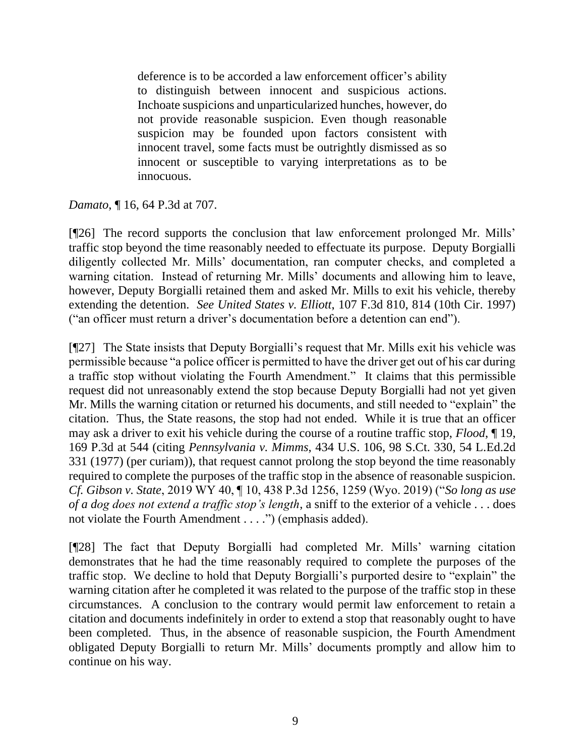deference is to be accorded a law enforcement officer's ability to distinguish between innocent and suspicious actions. Inchoate suspicions and unparticularized hunches, however, do not provide reasonable suspicion. Even though reasonable suspicion may be founded upon factors consistent with innocent travel, some facts must be outrightly dismissed as so innocent or susceptible to varying interpretations as to be innocuous.

*Damato*, ¶ 16, 64 P.3d at 707.

[¶26] The record supports the conclusion that law enforcement prolonged Mr. Mills' traffic stop beyond the time reasonably needed to effectuate its purpose. Deputy Borgialli diligently collected Mr. Mills' documentation, ran computer checks, and completed a warning citation. Instead of returning Mr. Mills' documents and allowing him to leave, however, Deputy Borgialli retained them and asked Mr. Mills to exit his vehicle, thereby extending the detention. *See United States v. Elliott*, 107 F.3d 810, 814 (10th Cir. 1997) ("an officer must return a driver's documentation before a detention can end").

[¶27] The State insists that Deputy Borgialli's request that Mr. Mills exit his vehicle was permissible because "a police officer is permitted to have the driver get out of his car during a traffic stop without violating the Fourth Amendment." It claims that this permissible request did not unreasonably extend the stop because Deputy Borgialli had not yet given Mr. Mills the warning citation or returned his documents, and still needed to "explain" the citation. Thus, the State reasons, the stop had not ended. While it is true that an officer may ask a driver to exit his vehicle during the course of a routine traffic stop, *Flood*, ¶ 19, 169 P.3d at 544 (citing *Pennsylvania v. Mimms*, 434 U.S. 106, 98 S.Ct. 330, 54 L.Ed.2d 331 (1977) (per curiam)), that request cannot prolong the stop beyond the time reasonably required to complete the purposes of the traffic stop in the absence of reasonable suspicion. *Cf. Gibson v. State*, 2019 WY 40, ¶ 10, 438 P.3d 1256, 1259 (Wyo. 2019) ("*So long as use of a dog does not extend a traffic stop's length*, a sniff to the exterior of a vehicle . . . does not violate the Fourth Amendment . . . .") (emphasis added).

[¶28] The fact that Deputy Borgialli had completed Mr. Mills' warning citation demonstrates that he had the time reasonably required to complete the purposes of the traffic stop. We decline to hold that Deputy Borgialli's purported desire to "explain" the warning citation after he completed it was related to the purpose of the traffic stop in these circumstances. A conclusion to the contrary would permit law enforcement to retain a citation and documents indefinitely in order to extend a stop that reasonably ought to have been completed. Thus, in the absence of reasonable suspicion, the Fourth Amendment obligated Deputy Borgialli to return Mr. Mills' documents promptly and allow him to continue on his way.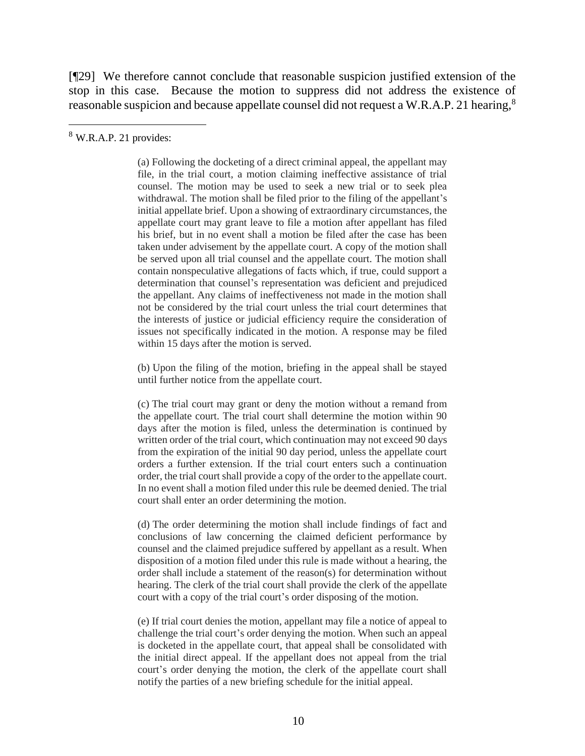[¶29] We therefore cannot conclude that reasonable suspicion justified extension of the stop in this case. Because the motion to suppress did not address the existence of reasonable suspicion and because appellate counsel did not request a W.R.A.P. 21 hearing,<sup>8</sup>

<sup>8</sup> W.R.A.P. 21 provides:

(a) Following the docketing of a direct criminal appeal, the appellant may file, in the trial court, a motion claiming ineffective assistance of trial counsel. The motion may be used to seek a new trial or to seek plea withdrawal. The motion shall be filed prior to the filing of the appellant's initial appellate brief. Upon a showing of extraordinary circumstances, the appellate court may grant leave to file a motion after appellant has filed his brief, but in no event shall a motion be filed after the case has been taken under advisement by the appellate court. A copy of the motion shall be served upon all trial counsel and the appellate court. The motion shall contain nonspeculative allegations of facts which, if true, could support a determination that counsel's representation was deficient and prejudiced the appellant. Any claims of ineffectiveness not made in the motion shall not be considered by the trial court unless the trial court determines that the interests of justice or judicial efficiency require the consideration of issues not specifically indicated in the motion. A response may be filed within 15 days after the motion is served.

(b) Upon the filing of the motion, briefing in the appeal shall be stayed until further notice from the appellate court.

(c) The trial court may grant or deny the motion without a remand from the appellate court. The trial court shall determine the motion within 90 days after the motion is filed, unless the determination is continued by written order of the trial court, which continuation may not exceed 90 days from the expiration of the initial 90 day period, unless the appellate court orders a further extension. If the trial court enters such a continuation order, the trial court shall provide a copy of the order to the appellate court. In no event shall a motion filed under this rule be deemed denied. The trial court shall enter an order determining the motion.

(d) The order determining the motion shall include findings of fact and conclusions of law concerning the claimed deficient performance by counsel and the claimed prejudice suffered by appellant as a result. When disposition of a motion filed under this rule is made without a hearing, the order shall include a statement of the reason(s) for determination without hearing. The clerk of the trial court shall provide the clerk of the appellate court with a copy of the trial court's order disposing of the motion.

(e) If trial court denies the motion, appellant may file a notice of appeal to challenge the trial court's order denying the motion. When such an appeal is docketed in the appellate court, that appeal shall be consolidated with the initial direct appeal. If the appellant does not appeal from the trial court's order denying the motion, the clerk of the appellate court shall notify the parties of a new briefing schedule for the initial appeal.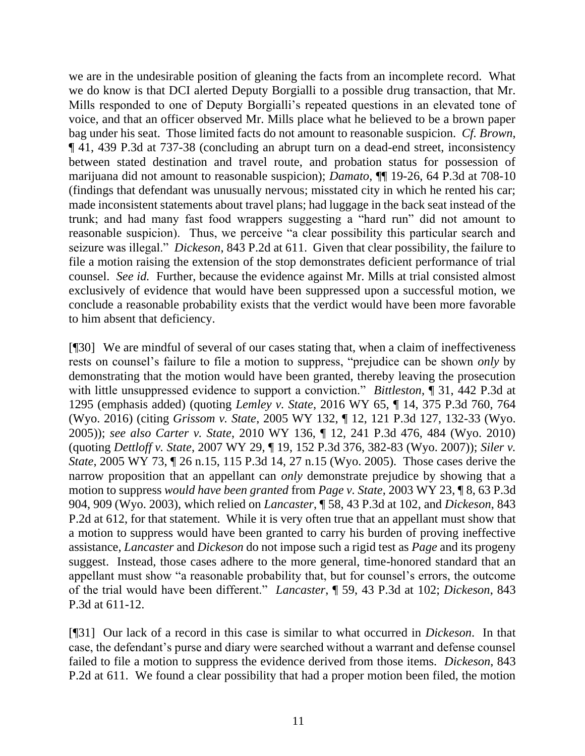we are in the undesirable position of gleaning the facts from an incomplete record. What we do know is that DCI alerted Deputy Borgialli to a possible drug transaction, that Mr. Mills responded to one of Deputy Borgialli's repeated questions in an elevated tone of voice, and that an officer observed Mr. Mills place what he believed to be a brown paper bag under his seat. Those limited facts do not amount to reasonable suspicion. *Cf. Brown*, ¶ 41, 439 P.3d at 737-38 (concluding an abrupt turn on a dead-end street, inconsistency between stated destination and travel route, and probation status for possession of marijuana did not amount to reasonable suspicion); *Damato*, ¶¶ 19-26, 64 P.3d at 708-10 (findings that defendant was unusually nervous; misstated city in which he rented his car; made inconsistent statements about travel plans; had luggage in the back seat instead of the trunk; and had many fast food wrappers suggesting a "hard run" did not amount to reasonable suspicion). Thus, we perceive "a clear possibility this particular search and seizure was illegal." *Dickeson*, 843 P.2d at 611. Given that clear possibility, the failure to file a motion raising the extension of the stop demonstrates deficient performance of trial counsel. *See id.* Further, because the evidence against Mr. Mills at trial consisted almost exclusively of evidence that would have been suppressed upon a successful motion, we conclude a reasonable probability exists that the verdict would have been more favorable to him absent that deficiency.

[¶30] We are mindful of several of our cases stating that, when a claim of ineffectiveness rests on counsel's failure to file a motion to suppress, "prejudice can be shown *only* by demonstrating that the motion would have been granted, thereby leaving the prosecution with little unsuppressed evidence to support a conviction." *Bittleston*, ¶ 31, 442 P.3d at 1295 (emphasis added) (quoting *Lemley v. State*, 2016 WY 65, ¶ 14, 375 P.3d 760, 764 (Wyo. 2016) (citing *Grissom v. State*, 2005 WY 132, ¶ 12, 121 P.3d 127, 132-33 (Wyo. 2005)); *see also Carter v. State*, 2010 WY 136, ¶ 12, 241 P.3d 476, 484 (Wyo. 2010) (quoting *Dettloff v. State*, 2007 WY 29, ¶ 19, 152 P.3d 376, 382-83 (Wyo. 2007)); *Siler v. State*, 2005 WY 73, ¶ 26 n.15, 115 P.3d 14, 27 n.15 (Wyo. 2005). Those cases derive the narrow proposition that an appellant can *only* demonstrate prejudice by showing that a motion to suppress *would have been granted* from *Page v. State*, 2003 WY 23, ¶ 8, 63 P.3d 904, 909 (Wyo. 2003), which relied on *Lancaster*, ¶ 58, 43 P.3d at 102, and *Dickeson*, 843 P.2d at 612, for that statement. While it is very often true that an appellant must show that a motion to suppress would have been granted to carry his burden of proving ineffective assistance, *Lancaster* and *Dickeson* do not impose such a rigid test as *Page* and its progeny suggest. Instead, those cases adhere to the more general, time-honored standard that an appellant must show "a reasonable probability that, but for counsel's errors, the outcome of the trial would have been different." *Lancaster*, ¶ 59, 43 P.3d at 102; *Dickeson*, 843 P.3d at 611-12.

[¶31] Our lack of a record in this case is similar to what occurred in *Dickeson*. In that case, the defendant's purse and diary were searched without a warrant and defense counsel failed to file a motion to suppress the evidence derived from those items. *Dickeson*, 843 P.2d at 611. We found a clear possibility that had a proper motion been filed, the motion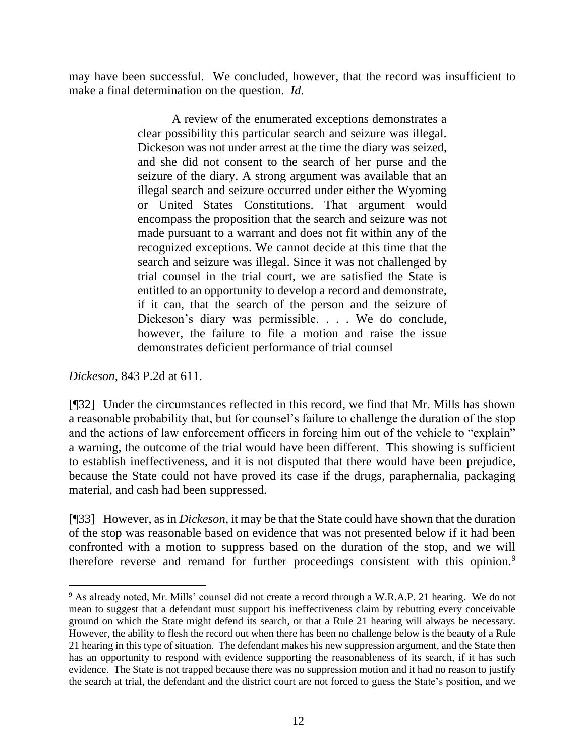may have been successful. We concluded, however, that the record was insufficient to make a final determination on the question. *Id*.

> A review of the enumerated exceptions demonstrates a clear possibility this particular search and seizure was illegal. Dickeson was not under arrest at the time the diary was seized, and she did not consent to the search of her purse and the seizure of the diary. A strong argument was available that an illegal search and seizure occurred under either the Wyoming or United States Constitutions. That argument would encompass the proposition that the search and seizure was not made pursuant to a warrant and does not fit within any of the recognized exceptions. We cannot decide at this time that the search and seizure was illegal. Since it was not challenged by trial counsel in the trial court, we are satisfied the State is entitled to an opportunity to develop a record and demonstrate, if it can, that the search of the person and the seizure of Dickeson's diary was permissible. . . . We do conclude, however, the failure to file a motion and raise the issue demonstrates deficient performance of trial counsel

*Dickeson*, 843 P.2d at 611.

[¶32] Under the circumstances reflected in this record, we find that Mr. Mills has shown a reasonable probability that, but for counsel's failure to challenge the duration of the stop and the actions of law enforcement officers in forcing him out of the vehicle to "explain" a warning, the outcome of the trial would have been different. This showing is sufficient to establish ineffectiveness, and it is not disputed that there would have been prejudice, because the State could not have proved its case if the drugs, paraphernalia, packaging material, and cash had been suppressed.

[¶33] However, as in *Dickeson*, it may be that the State could have shown that the duration of the stop was reasonable based on evidence that was not presented below if it had been confronted with a motion to suppress based on the duration of the stop, and we will therefore reverse and remand for further proceedings consistent with this opinion.<sup>9</sup>

<sup>9</sup> As already noted, Mr. Mills' counsel did not create a record through a W.R.A.P. 21 hearing. We do not mean to suggest that a defendant must support his ineffectiveness claim by rebutting every conceivable ground on which the State might defend its search, or that a Rule 21 hearing will always be necessary. However, the ability to flesh the record out when there has been no challenge below is the beauty of a Rule 21 hearing in this type of situation. The defendant makes his new suppression argument, and the State then has an opportunity to respond with evidence supporting the reasonableness of its search, if it has such evidence. The State is not trapped because there was no suppression motion and it had no reason to justify the search at trial, the defendant and the district court are not forced to guess the State's position, and we